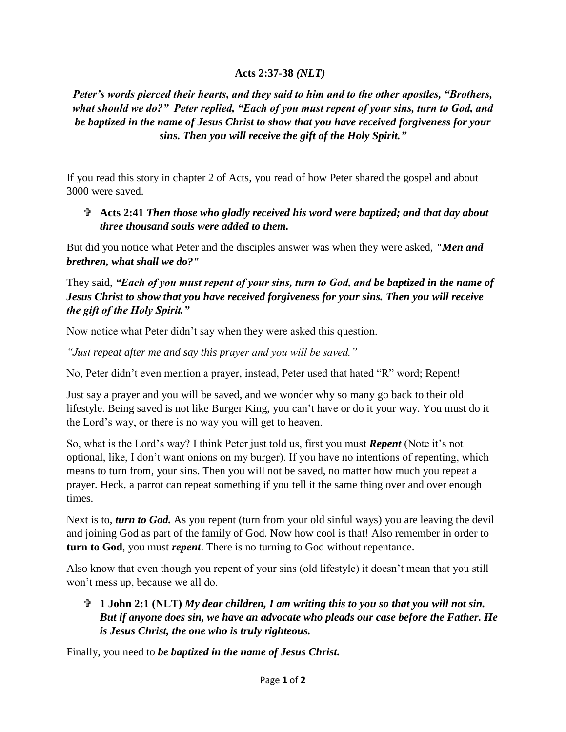## **Acts 2:37-38** *(NLT)*

*Peter's words pierced their hearts, and they said to him and to the other apostles, "Brothers, what should we do?" Peter replied, "Each of you must repent of your sins, turn to God, and be baptized in the name of Jesus Christ to show that you have received forgiveness for your sins. Then you will receive the gift of the Holy Spirit."*

If you read this story in chapter 2 of Acts, you read of how Peter shared the gospel and about 3000 were saved.

## **Acts 2:41** *Then those who gladly received his word were baptized; and that day about three thousand souls were added to them.*

But did you notice what Peter and the disciples answer was when they were asked, *"Men and brethren, what shall we do?"*

They said, *"Each of you must repent of your sins, turn to God, and be baptized in the name of Jesus Christ to show that you have received forgiveness for your sins. Then you will receive the gift of the Holy Spirit."*

Now notice what Peter didn't say when they were asked this question.

*"Just repeat after me and say this prayer and you will be saved."*

No, Peter didn't even mention a prayer, instead, Peter used that hated "R" word; Repent!

Just say a prayer and you will be saved, and we wonder why so many go back to their old lifestyle. Being saved is not like Burger King, you can't have or do it your way. You must do it the Lord's way, or there is no way you will get to heaven.

So, what is the Lord's way? I think Peter just told us, first you must *Repent* (Note it's not optional, like, I don't want onions on my burger). If you have no intentions of repenting, which means to turn from, your sins. Then you will not be saved, no matter how much you repeat a prayer. Heck, a parrot can repeat something if you tell it the same thing over and over enough times.

Next is to, *turn to God*. As you repent (turn from your old sinful ways) you are leaving the devil and joining God as part of the family of God. Now how cool is that! Also remember in order to **turn to God**, you must *repent*. There is no turning to God without repentance.

Also know that even though you repent of your sins (old lifestyle) it doesn't mean that you still won't mess up, because we all do.

 **1 John 2:1 (NLT)** *My dear children, I am writing this to you so that you will not sin. But if anyone does sin, we have an advocate who pleads our case before the Father. He is Jesus Christ, the one who is truly righteous.*

Finally, you need to *be baptized in the name of Jesus Christ.*